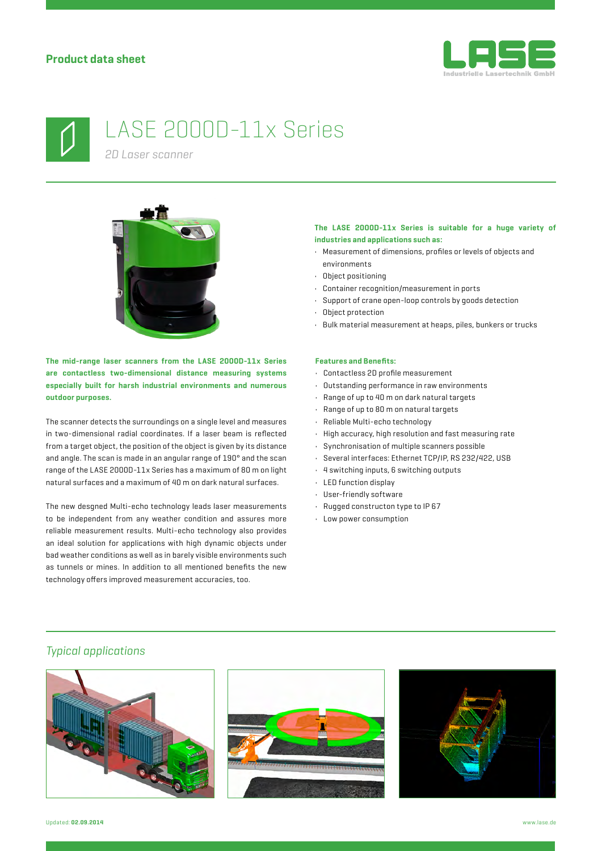



# LASE 2000D-11x Series

*2D Laser scanner*



**The mid-range laser scanners from the LASE 2000D-11x Series are contactless two-dimensional distance measuring systems especially built for harsh industrial environments and numerous outdoor purposes.**

The scanner detects the surroundings on a single level and measures in two-dimensional radial coordinates. If a laser beam is reflected from a target object, the position of the object is given by its distance and angle. The scan is made in an angular range of 190° and the scan range of the LASE 2000D-11x Series has a maximum of 80 m on light natural surfaces and a maximum of 40 m on dark natural surfaces.

The new desgned Multi-echo technology leads laser measurements to be independent from any weather condition and assures more reliable measurement results. Multi-echo technology also provides an ideal solution for applications with high dynamic objects under bad weather conditions as well as in barely visible environments such as tunnels or mines. In addition to all mentioned benefits the new technology offers improved measurement accuracies, too.

#### **The LASE 2000D-11x Series is suitable for a huge variety of industries and applications such as:**

- Measurement of dimensions, profiles or levels of objects and environments
- Object positioning
- Container recognition/measurement in ports
- Support of crane open-loop controls by goods detection
- Object protection
- Bulk material measurement at heaps, piles, bunkers or trucks

#### **Features and Benefits:**

- Contactless 2D profile measurement
- Outstanding performance in raw environments
- Range of up to 40 m on dark natural targets
- Range of up to 80 m on natural targets
- Reliable Multi-echo technology
- High accuracy, high resolution and fast measuring rate
- Synchronisation of multiple scanners possible
- Several interfaces: Ethernet TCP/IP, RS 232/422, USB
- 4 switching inputs, 6 switching outputs
- LED function display
- User-friendly software
- Rugged constructon type to IP 67
- Low power consumption

### *Typical applications*